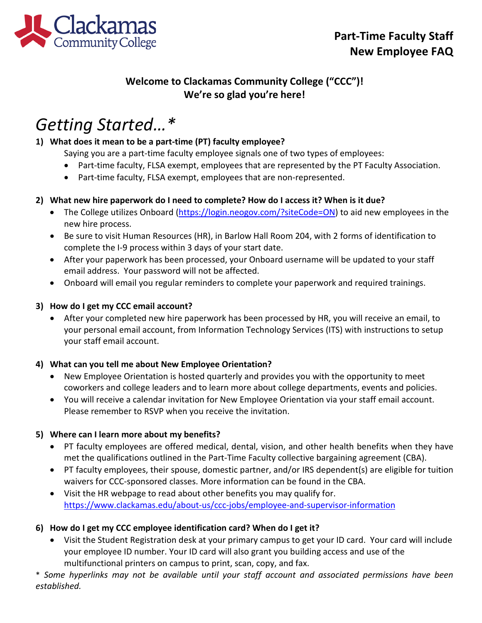

# **Welcome to Clackamas Community College ("CCC")! We're so glad you're here!**

# *Getting Started…\**

# **1) What does it mean to be a part-time (PT) faculty employee?**

Saying you are a part-time faculty employee signals one of two types of employees:

- Part-time faculty, FLSA exempt, employees that are represented by the PT Faculty Association.
- Part-time faculty, FLSA exempt, employees that are non-represented.

### **2) What new hire paperwork do I need to complete? How do I access it? When is it due?**

- The College utilizes Onboard [\(https://login.neogov.com/?siteCode=ON\)](https://login.neogov.com/?siteCode=ON) to aid new employees in the new hire process.
- Be sure to visit Human Resources (HR), in Barlow Hall Room 204, with 2 forms of identification to complete the I-9 process within 3 days of your start date.
- After your paperwork has been processed, your Onboard username will be updated to your staff email address. Your password will not be affected.
- Onboard will email you regular reminders to complete your paperwork and required trainings.

### **3) How do I get my CCC email account?**

• After your completed new hire paperwork has been processed by HR, you will receive an email, to your personal email account, from Information Technology Services (ITS) with instructions to setup your staff email account.

## **4) What can you tell me about New Employee Orientation?**

- New Employee Orientation is hosted quarterly and provides you with the opportunity to meet coworkers and college leaders and to learn more about college departments, events and policies.
- You will receive a calendar invitation for New Employee Orientation via your staff email account. Please remember to RSVP when you receive the invitation.

### **5) Where can I learn more about my benefits?**

- PT faculty employees are offered medical, dental, vision, and other health benefits when they have met the qualifications outlined in the Part-Time Faculty collective bargaining agreement (CBA).
- PT faculty employees, their spouse, domestic partner, and/or IRS dependent(s) are eligible for tuition waivers for CCC-sponsored classes. More information can be found in the CBA.
- Visit the HR webpage to read about other benefits you may qualify for. <https://www.clackamas.edu/about-us/ccc-jobs/employee-and-supervisor-information>

## **6) How do I get my CCC employee identification card? When do I get it?**

• Visit the Student Registration desk at your primary campus to get your ID card. Your card will include your employee ID number. Your ID card will also grant you building access and use of the multifunctional printers on campus to print, scan, copy, and fax.

\* *Some hyperlinks may not be available until your staff account and associated permissions have been established.*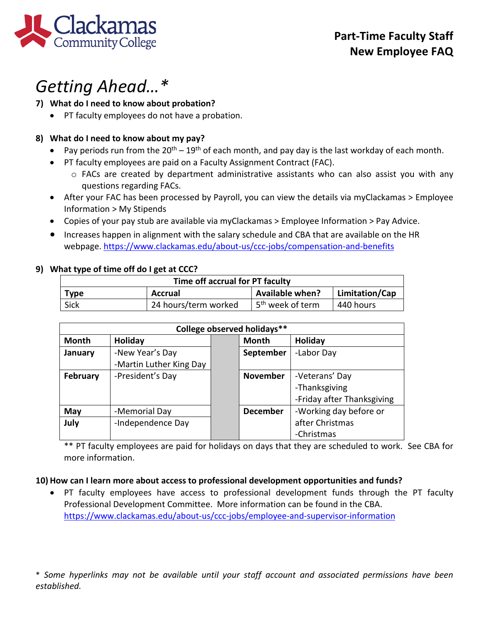

# *Getting Ahead…\**

### **7) What do I need to know about probation?**

• PT faculty employees do not have a probation.

### **8) What do I need to know about my pay?**

- Pay periods run from the  $20^{th} 19^{th}$  of each month, and pay day is the last workday of each month.
- PT faculty employees are paid on a Faculty Assignment Contract (FAC).
	- $\circ$  FACs are created by department administrative assistants who can also assist you with any questions regarding FACs.
- After your FAC has been processed by Payroll, you can view the details via myClackamas > Employee Information > My Stipends
- Copies of your pay stub are available via myClackamas > Employee Information > Pay Advice.
- Increases happen in alignment with the salary schedule and CBA that are available on the HR webpage[. https://www.clackamas.edu/about-us/ccc-jobs/compensation-and-benefits](https://www.clackamas.edu/about-us/ccc-jobs/compensation-and-benefits)

### **9) What type of time off do I get at CCC?**

| Time off accrual for PT faculty |                      |                               |                |  |  |
|---------------------------------|----------------------|-------------------------------|----------------|--|--|
| <b>Type</b>                     | <b>Accrual</b>       | <b>Available when?</b>        | Limitation/Cap |  |  |
| Sick                            | 24 hours/term worked | ⊥5 <sup>th</sup> week of term | 440 hours      |  |  |

| College observed holidays** |                         |  |                 |                            |  |  |
|-----------------------------|-------------------------|--|-----------------|----------------------------|--|--|
| <b>Month</b>                | Holiday                 |  | Month           | Holiday                    |  |  |
| January                     | -New Year's Day         |  | September       | -Labor Day                 |  |  |
|                             | -Martin Luther King Day |  |                 |                            |  |  |
| <b>February</b>             | -President's Day        |  | <b>November</b> | -Veterans' Day             |  |  |
|                             |                         |  |                 | -Thanksgiving              |  |  |
|                             |                         |  |                 | -Friday after Thanksgiving |  |  |
| May                         | -Memorial Day           |  | <b>December</b> | -Working day before or     |  |  |
| July                        | -Independence Day       |  |                 | after Christmas            |  |  |
|                             |                         |  |                 | -Christmas                 |  |  |

\*\* PT faculty employees are paid for holidays on days that they are scheduled to work. See CBA for more information.

### **10) How can I learn more about access to professional development opportunities and funds?**

• PT faculty employees have access to professional development funds through the PT faculty Professional Development Committee. More information can be found in the CBA. <https://www.clackamas.edu/about-us/ccc-jobs/employee-and-supervisor-information>

\* *Some hyperlinks may not be available until your staff account and associated permissions have been established.*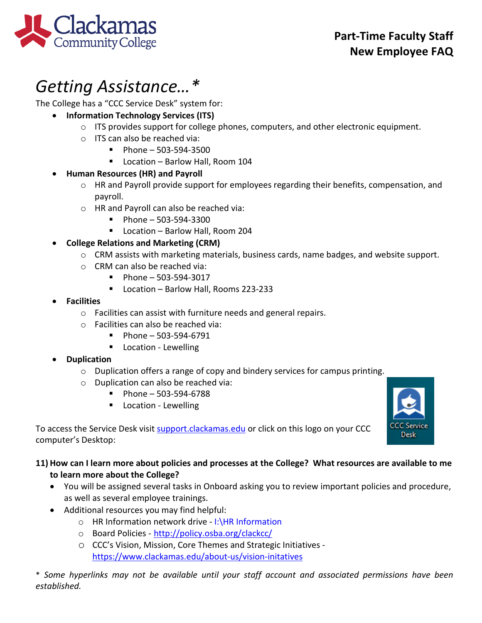

# *Getting Assistance…\**

The College has a "CCC Service Desk" system for:

- **Information Technology Services (ITS)**
	- $\circ$  ITS provides support for college phones, computers, and other electronic equipment.
	- o ITS can also be reached via:
		- $Phone 503-594-3500$
		- Location Barlow Hall, Room 104

# • **Human Resources (HR) and Payroll**

- o HR and Payroll provide support for employees regarding their benefits, compensation, and payroll.
- o HR and Payroll can also be reached via:
	- $\blacksquare$  Phone 503-594-3300
	- Location Barlow Hall, Room 204

# • **College Relations and Marketing (CRM)**

- o CRM assists with marketing materials, business cards, name badges, and website support.
- o CRM can also be reached via:
	- $\blacksquare$  Phone 503-594-3017
	- Location Barlow Hall, Rooms 223-233
- **Facilities**
	- o Facilities can assist with furniture needs and general repairs.
	- o Facilities can also be reached via:
		- $\blacksquare$  Phone 503-594-6791
		- **Location Lewelling**

# • **Duplication**

- o Duplication offers a range of copy and bindery services for campus printing.
- o Duplication can also be reached via:
	- $\blacksquare$  Phone 503-594-6788
	- **Location Lewelling**



To access the Service Desk visit [support.clackamas.edu](https://clackamas.teamdynamix.com/TDClient/Home/) or click on this logo on your CCC computer's Desktop:

# **11) How can I learn more about policies and processes at the College? What resources are available to me to learn more about the College?**

- You will be assigned several tasks in Onboard asking you to review important policies and procedure, as well as several employee trainings.
- Additional resources you may find helpful:
	- o HR Information network drive I:\HR Information
	- o Board Policies <http://policy.osba.org/clackcc/>
	- o CCC's Vision, Mission, Core Themes and Strategic Initiatives <https://www.clackamas.edu/about-us/vision-initatives>

\* *Some hyperlinks may not be available until your staff account and associated permissions have been established.*